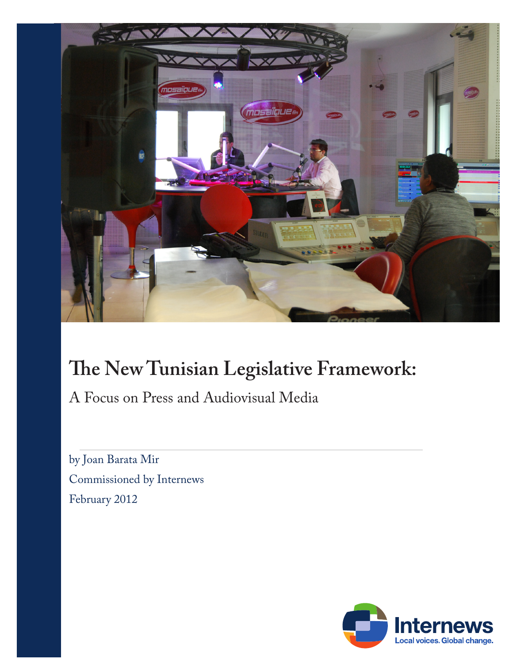

# **The New Tunisian Legislative Framework:**

A Focus on Press and Audiovisual Media

by Joan Barata Mir Commissioned by Internews February 2012

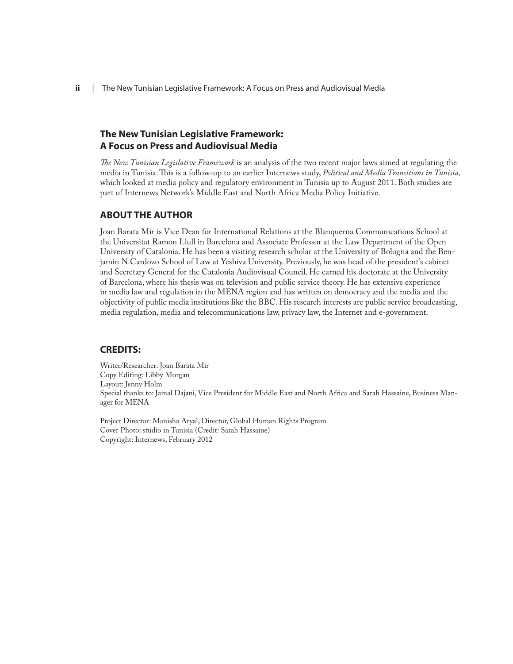**ii** | The New Tunisian Legislative Framework: A Focus on Press and Audiovisual Media

### **The New Tunisian Legislative Framework: A Focus on Press and Audiovisual Media**

*The New Tunisian Legislative Framework* is an analysis of the two recent major laws aimed at regulating the media in Tunisia. This is a follow-up to an earlier Internews study, *Political and Media Transitions in Tunisia,* which looked at media policy and regulatory environment in Tunisia up to August 2011. Both studies are part of Internews Network's Middle East and North Africa Media Policy Initiative.

#### **ABOUT THE AUTHOR**

Joan Barata Mir is Vice Dean for International Relations at the Blanquerna Communications School at the Universitat Ramon Llull in Barcelona and Associate Professor at the Law Department of the Open University of Catalonia. He has been a visiting research scholar at the University of Bologna and the Benjamin N.Cardozo School of Law at Yeshiva University. Previously, he was head of the president's cabinet and Secretary General for the Catalonia Audiovisual Council. He earned his doctorate at the University of Barcelona, where his thesis was on television and public service theory. He has extensive experience in media law and regulation in the MENA region and has written on democracy and the media and the objectivity of public media institutions like the BBC. His research interests are public service broadcasting, media regulation, media and telecommunications law, privacy law, the Internet and e-government.

#### **CREDITS:**

Writer/Researcher: Joan Barata Mir Copy Editing: Libby Morgan Layout: Jenny Holm Special thanks to: Jamal Dajani, Vice President for Middle East and North Africa and Sarah Hassaine, Business Manager for MENA

Project Director: Manisha Aryal, Director, Global Human Rights Program Cover Photo: studio in Tunisia (Credit: Sarah Hassaine) Copyright: Internews, February 2012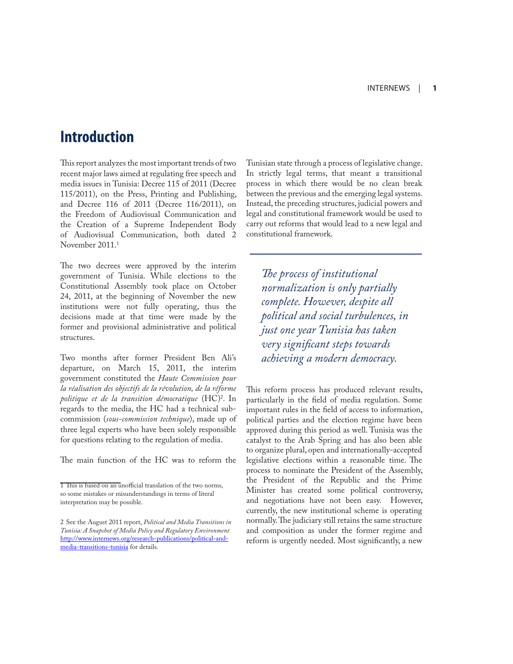### **Introduction**

This report analyzes the most important trends of two recent major laws aimed at regulating free speech and media issues in Tunisia: Decree 115 of 2011 (Decree 115/2011), on the Press, Printing and Publishing, and Decree 116 of 2011 (Decree 116/2011), on the Freedom of Audiovisual Communication and the Creation of a Supreme Independent Body of Audiovisual Communication, both dated 2 November 2011.<sup>1</sup>

The two decrees were approved by the interim government of Tunisia. While elections to the Constitutional Assembly took place on October 24, 2011, at the beginning of November the new institutions were not fully operating, thus the decisions made at that time were made by the former and provisional administrative and political structures.

Two months after former President Ben Ali's departure, on March 15, 2011, the interim government constituted the *Haute Commission pour la réalisation des objectifs de la révolution, de la réforme politique et de la transition démocratique* (HC)<sup>2</sup> . In regards to the media, the HC had a technical subcommission (*sous-commission technique*), made up of three legal experts who have been solely responsible for questions relating to the regulation of media.

The main function of the HC was to reform the

Tunisian state through a process of legislative change. In strictly legal terms, that meant a transitional process in which there would be no clean break between the previous and the emerging legal systems. Instead, the preceding structures, judicial powers and legal and constitutional framework would be used to carry out reforms that would lead to a new legal and constitutional framework.

*The process of institutional normalization is only partially complete. However, despite all political and social turbulences, in just one year Tunisia has taken very significant steps towards achieving a modern democracy.*

This reform process has produced relevant results, particularly in the field of media regulation. Some important rules in the field of access to information, political parties and the election regime have been approved during this period as well. Tunisia was the catalyst to the Arab Spring and has also been able to organize plural, open and internationally-accepted legislative elections within a reasonable time. The process to nominate the President of the Assembly, the President of the Republic and the Prime Minister has created some political controversy, and negotiations have not been easy. However, currently, the new institutional scheme is operating normally. The judiciary still retains the same structure and composition as under the former regime and reform is urgently needed. Most significantly, a new

<sup>1</sup> This is based on an unofficial translation of the two norms, so some mistakes or misunderstandings in terms of literal interpretation may be possible.

<sup>2</sup> See the August 2011 report, *Political and Media Transitions in Tunisia: A Snapshot of Media Policy and Regulatory Environment* http://www.internews.org/research-publications/political-andmedia-transitions-tunisia for details.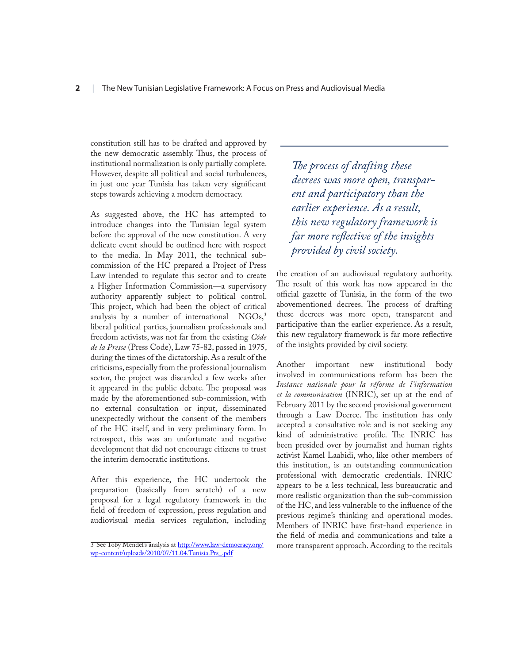constitution still has to be drafted and approved by the new democratic assembly. Thus, the process of institutional normalization is only partially complete. However, despite all political and social turbulences, in just one year Tunisia has taken very significant steps towards achieving a modern democracy.

As suggested above, the HC has attempted to introduce changes into the Tunisian legal system before the approval of the new constitution. A very delicate event should be outlined here with respect to the media. In May 2011, the technical subcommission of the HC prepared a Project of Press Law intended to regulate this sector and to create a Higher Information Commission—a supervisory authority apparently subject to political control. This project, which had been the object of critical analysis by a number of international  $NGOs<sub>3</sub>$ <sup>3</sup> liberal political parties, journalism professionals and freedom activists, was not far from the existing *Códe de la Presse* (Press Code), Law 75-82, passed in 1975, during the times of the dictatorship. As a result of the criticisms, especially from the professional journalism sector, the project was discarded a few weeks after it appeared in the public debate. The proposal was made by the aforementioned sub-commission, with no external consultation or input, disseminated unexpectedly without the consent of the members of the HC itself, and in very preliminary form. In retrospect, this was an unfortunate and negative development that did not encourage citizens to trust the interim democratic institutions.

After this experience, the HC undertook the preparation (basically from scratch) of a new proposal for a legal regulatory framework in the field of freedom of expression, press regulation and audiovisual media services regulation, including

*The process of drafting these decrees was more open, transparent and participatory than the earlier experience. As a result, this new regulatory framework is far more reflective of the insights provided by civil society.*

the creation of an audiovisual regulatory authority. The result of this work has now appeared in the official gazette of Tunisia, in the form of the two abovementioned decrees. The process of drafting these decrees was more open, transparent and participative than the earlier experience. As a result, this new regulatory framework is far more reflective of the insights provided by civil society.

Another important new institutional body involved in communications reform has been the *Instance nationale pour la réforme de l'information et la communication* (INRIC), set up at the end of February 2011 by the second provisional government through a Law Decree. The institution has only accepted a consultative role and is not seeking any kind of administrative profile. The INRIC has been presided over by journalist and human rights activist Kamel Laabidi, who, like other members of this institution, is an outstanding communication professional with democratic credentials. INRIC appears to be a less technical, less bureaucratic and more realistic organization than the sub-commission of the HC, and less vulnerable to the influence of the previous regime's thinking and operational modes. Members of INRIC have first-hand experience in the field of media and communications and take a more transparent approach. According to the recitals

<sup>3</sup> See Toby Mendel's analysis at http://www.law-democracy.org/ wp-content/uploads/2010/07/11.04.Tunisia.Prs\_.pdf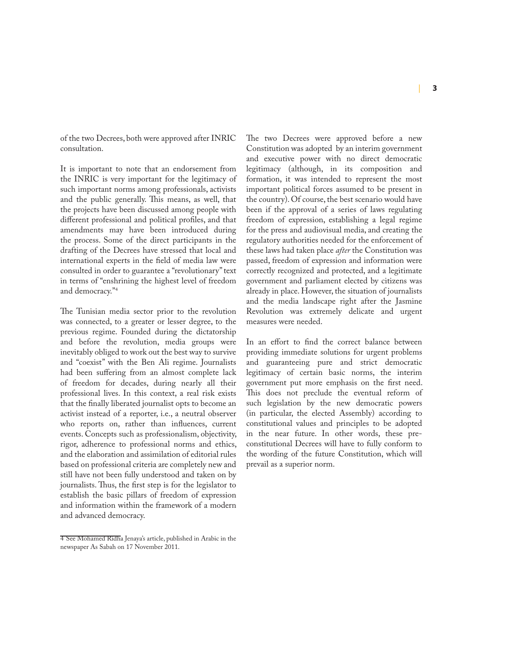of the two Decrees, both were approved after INRIC consultation.

It is important to note that an endorsement from the INRIC is very important for the legitimacy of such important norms among professionals, activists and the public generally. This means, as well, that the projects have been discussed among people with different professional and political profiles, and that amendments may have been introduced during the process. Some of the direct participants in the drafting of the Decrees have stressed that local and international experts in the field of media law were consulted in order to guarantee a "revolutionary" text in terms of "enshrining the highest level of freedom and democracy."<sup>4</sup>

The Tunisian media sector prior to the revolution was connected, to a greater or lesser degree, to the previous regime. Founded during the dictatorship and before the revolution, media groups were inevitably obliged to work out the best way to survive and "coexist" with the Ben Ali regime. Journalists had been suffering from an almost complete lack of freedom for decades, during nearly all their professional lives. In this context, a real risk exists that the finally liberated journalist opts to become an activist instead of a reporter, i.e., a neutral observer who reports on, rather than influences, current events. Concepts such as professionalism, objectivity, rigor, adherence to professional norms and ethics, and the elaboration and assimilation of editorial rules based on professional criteria are completely new and still have not been fully understood and taken on by journalists. Thus, the first step is for the legislator to establish the basic pillars of freedom of expression and information within the framework of a modern and advanced democracy.

The two Decrees were approved before a new Constitution was adopted by an interim government and executive power with no direct democratic legitimacy (although, in its composition and formation, it was intended to represent the most important political forces assumed to be present in the country). Of course, the best scenario would have been if the approval of a series of laws regulating freedom of expression, establishing a legal regime for the press and audiovisual media, and creating the regulatory authorities needed for the enforcement of these laws had taken place *after* the Constitution was passed, freedom of expression and information were correctly recognized and protected, and a legitimate government and parliament elected by citizens was already in place. However, the situation of journalists and the media landscape right after the Jasmine Revolution was extremely delicate and urgent measures were needed.

In an effort to find the correct balance between providing immediate solutions for urgent problems and guaranteeing pure and strict democratic legitimacy of certain basic norms, the interim government put more emphasis on the first need. This does not preclude the eventual reform of such legislation by the new democratic powers (in particular, the elected Assembly) according to constitutional values and principles to be adopted in the near future. In other words, these preconstitutional Decrees will have to fully conform to the wording of the future Constitution, which will prevail as a superior norm.

<sup>4</sup> See Mohamed Ridha Jenaya's article, published in Arabic in the newspaper As Sabah on 17 November 2011.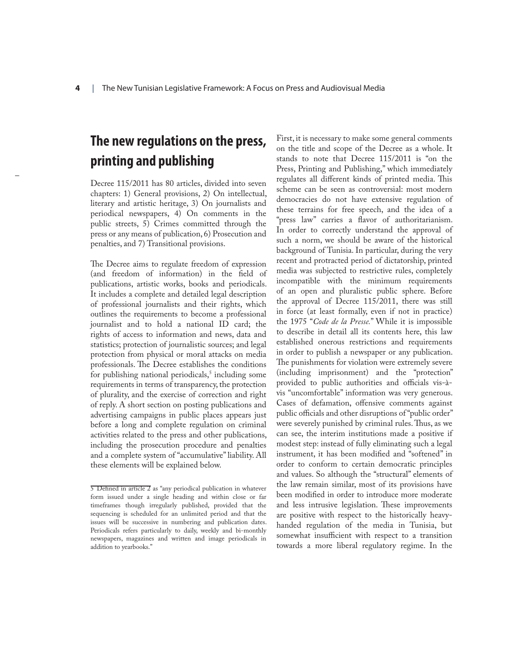### **The new regulations on the press, printing and publishing**

–

Decree 115/2011 has 80 articles, divided into seven chapters: 1) General provisions, 2) On intellectual, literary and artistic heritage, 3) On journalists and periodical newspapers, 4) On comments in the public streets, 5) Crimes committed through the press or any means of publication, 6) Prosecution and penalties, and 7) Transitional provisions.

The Decree aims to regulate freedom of expression (and freedom of information) in the field of publications, artistic works, books and periodicals. It includes a complete and detailed legal description of professional journalists and their rights, which outlines the requirements to become a professional journalist and to hold a national ID card; the rights of access to information and news, data and statistics; protection of journalistic sources; and legal protection from physical or moral attacks on media professionals. The Decree establishes the conditions for publishing national periodicals,<sup>5</sup> including some requirements in terms of transparency, the protection of plurality, and the exercise of correction and right of reply. A short section on posting publications and advertising campaigns in public places appears just before a long and complete regulation on criminal activities related to the press and other publications, including the prosecution procedure and penalties and a complete system of "accumulative" liability. All these elements will be explained below.

First, it is necessary to make some general comments on the title and scope of the Decree as a whole. It stands to note that Decree 115/2011 is "on the Press, Printing and Publishing," which immediately regulates all different kinds of printed media. This scheme can be seen as controversial: most modern democracies do not have extensive regulation of these terrains for free speech, and the idea of a "press law" carries a flavor of authoritarianism. In order to correctly understand the approval of such a norm, we should be aware of the historical background of Tunisia. In particular, during the very recent and protracted period of dictatorship, printed media was subjected to restrictive rules, completely incompatible with the minimum requirements of an open and pluralistic public sphere. Before the approval of Decree 115/2011, there was still in force (at least formally, even if not in practice) the 1975 "*Code de la Presse.*" While it is impossible to describe in detail all its contents here, this law established onerous restrictions and requirements in order to publish a newspaper or any publication. The punishments for violation were extremely severe (including imprisonment) and the "protection" provided to public authorities and officials vis-àvis "uncomfortable" information was very generous. Cases of defamation, offensive comments against public officials and other disruptions of "public order" were severely punished by criminal rules. Thus, as we can see, the interim institutions made a positive if modest step: instead of fully eliminating such a legal instrument, it has been modified and "softened" in order to conform to certain democratic principles and values. So although the "structural" elements of the law remain similar, most of its provisions have been modified in order to introduce more moderate and less intrusive legislation. These improvements are positive with respect to the historically heavyhanded regulation of the media in Tunisia, but somewhat insufficient with respect to a transition towards a more liberal regulatory regime. In the

<sup>5</sup> Defined in article 2 as "any periodical publication in whatever form issued under a single heading and within close or far timeframes though irregularly published, provided that the sequencing is scheduled for an unlimited period and that the issues will be successive in numbering and publication dates. Periodicals refers particularly to daily, weekly and bi-monthly newspapers, magazines and written and image periodicals in addition to yearbooks."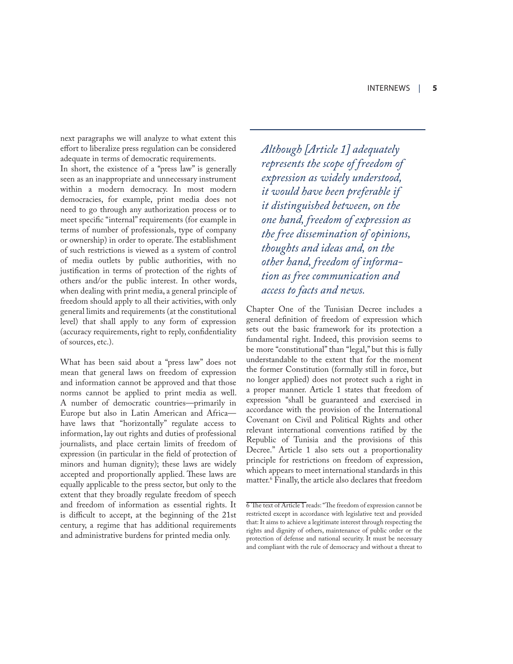next paragraphs we will analyze to what extent this effort to liberalize press regulation can be considered adequate in terms of democratic requirements.

In short, the existence of a "press law" is generally seen as an inappropriate and unnecessary instrument within a modern democracy. In most modern democracies, for example, print media does not need to go through any authorization process or to meet specific "internal" requirements (for example in terms of number of professionals, type of company or ownership) in order to operate. The establishment of such restrictions is viewed as a system of control of media outlets by public authorities, with no justification in terms of protection of the rights of others and/or the public interest. In other words, when dealing with print media, a general principle of freedom should apply to all their activities, with only general limits and requirements (at the constitutional level) that shall apply to any form of expression (accuracy requirements, right to reply, confidentiality of sources, etc.).

What has been said about a "press law" does not mean that general laws on freedom of expression and information cannot be approved and that those norms cannot be applied to print media as well. A number of democratic countries—primarily in Europe but also in Latin American and Africa have laws that "horizontally" regulate access to information, lay out rights and duties of professional journalists, and place certain limits of freedom of expression (in particular in the field of protection of minors and human dignity); these laws are widely accepted and proportionally applied. These laws are equally applicable to the press sector, but only to the extent that they broadly regulate freedom of speech and freedom of information as essential rights. It is difficult to accept, at the beginning of the 21st century, a regime that has additional requirements and administrative burdens for printed media only.

*Although [Article 1] adequately represents the scope of freedom of expression as widely understood, it would have been preferable if it distinguished between, on the one hand, freedom of expression as the free dissemination of opinions, thoughts and ideas and, on the other hand, freedom of information as free communication and access to facts and news.* 

Chapter One of the Tunisian Decree includes a general definition of freedom of expression which sets out the basic framework for its protection a fundamental right. Indeed, this provision seems to be more "constitutional" than "legal," but this is fully understandable to the extent that for the moment the former Constitution (formally still in force, but no longer applied) does not protect such a right in a proper manner. Article 1 states that freedom of expression "shall be guaranteed and exercised in accordance with the provision of the International Covenant on Civil and Political Rights and other relevant international conventions ratified by the Republic of Tunisia and the provisions of this Decree." Article 1 also sets out a proportionality principle for restrictions on freedom of expression, which appears to meet international standards in this matter.<sup>6</sup> Finally, the article also declares that freedom

<sup>6</sup> The text of Article 1 reads: "The freedom of expression cannot be restricted except in accordance with legislative text and provided that: It aims to achieve a legitimate interest through respecting the rights and dignity of others, maintenance of public order or the protection of defense and national security. It must be necessary and compliant with the rule of democracy and without a threat to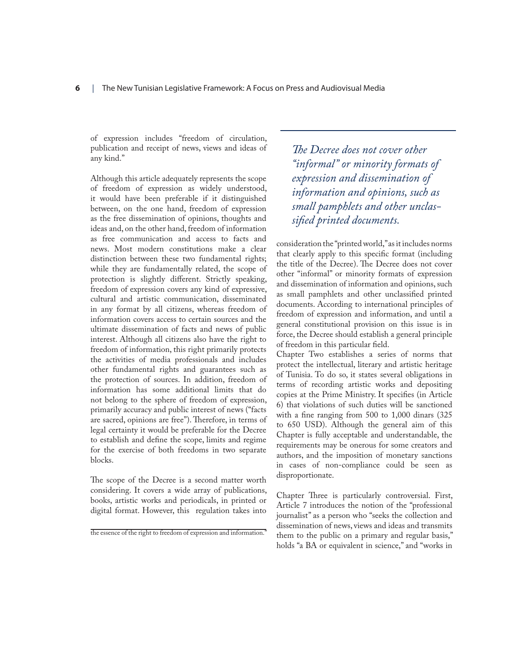of expression includes "freedom of circulation, publication and receipt of news, views and ideas of any kind."

Although this article adequately represents the scope of freedom of expression as widely understood, it would have been preferable if it distinguished between, on the one hand, freedom of expression as the free dissemination of opinions, thoughts and ideas and, on the other hand, freedom of information as free communication and access to facts and news. Most modern constitutions make a clear distinction between these two fundamental rights; while they are fundamentally related, the scope of protection is slightly different. Strictly speaking, freedom of expression covers any kind of expressive, cultural and artistic communication, disseminated in any format by all citizens, whereas freedom of information covers access to certain sources and the ultimate dissemination of facts and news of public interest. Although all citizens also have the right to freedom of information, this right primarily protects the activities of media professionals and includes other fundamental rights and guarantees such as the protection of sources. In addition, freedom of information has some additional limits that do not belong to the sphere of freedom of expression, primarily accuracy and public interest of news ("facts are sacred, opinions are free"). Therefore, in terms of legal certainty it would be preferable for the Decree to establish and define the scope, limits and regime for the exercise of both freedoms in two separate blocks.

The scope of the Decree is a second matter worth considering. It covers a wide array of publications, books, artistic works and periodicals, in printed or digital format. However, this regulation takes into

*The Decree does not cover other "informal" or minority formats of expression and dissemination of information and opinions, such as small pamphlets and other unclassified printed documents.* 

consideration the "printed world," as it includes norms that clearly apply to this specific format (including the title of the Decree). The Decree does not cover other "informal" or minority formats of expression and dissemination of information and opinions, such as small pamphlets and other unclassified printed documents. According to international principles of freedom of expression and information, and until a general constitutional provision on this issue is in force, the Decree should establish a general principle of freedom in this particular field.

Chapter Two establishes a series of norms that protect the intellectual, literary and artistic heritage of Tunisia. To do so, it states several obligations in terms of recording artistic works and depositing copies at the Prime Ministry. It specifies (in Article 6) that violations of such duties will be sanctioned with a fine ranging from 500 to 1,000 dinars (325 to 650 USD). Although the general aim of this Chapter is fully acceptable and understandable, the requirements may be onerous for some creators and authors, and the imposition of monetary sanctions in cases of non-compliance could be seen as disproportionate.

Chapter Three is particularly controversial. First, Article 7 introduces the notion of the "professional journalist" as a person who "seeks the collection and dissemination of news, views and ideas and transmits them to the public on a primary and regular basis," holds "a BA or equivalent in science," and "works in

the essence of the right to freedom of expression and information."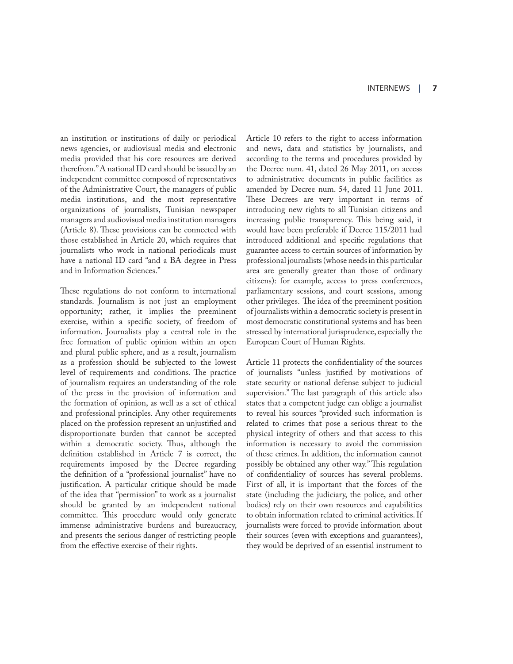an institution or institutions of daily or periodical news agencies, or audiovisual media and electronic media provided that his core resources are derived therefrom." A national ID card should be issued by an independent committee composed of representatives of the Administrative Court, the managers of public media institutions, and the most representative organizations of journalists, Tunisian newspaper managers and audiovisual media institution managers (Article 8). These provisions can be connected with those established in Article 20, which requires that journalists who work in national periodicals must have a national ID card "and a BA degree in Press and in Information Sciences."

These regulations do not conform to international standards. Journalism is not just an employment opportunity; rather, it implies the preeminent exercise, within a specific society, of freedom of information. Journalists play a central role in the free formation of public opinion within an open and plural public sphere, and as a result, journalism as a profession should be subjected to the lowest level of requirements and conditions. The practice of journalism requires an understanding of the role of the press in the provision of information and the formation of opinion, as well as a set of ethical and professional principles. Any other requirements placed on the profession represent an unjustified and disproportionate burden that cannot be accepted within a democratic society. Thus, although the definition established in Article 7 is correct, the requirements imposed by the Decree regarding the definition of a "professional journalist" have no justification. A particular critique should be made of the idea that "permission" to work as a journalist should be granted by an independent national committee. This procedure would only generate immense administrative burdens and bureaucracy, and presents the serious danger of restricting people from the effective exercise of their rights.

Article 10 refers to the right to access information and news, data and statistics by journalists, and according to the terms and procedures provided by the Decree num. 41, dated 26 May 2011, on access to administrative documents in public facilities as amended by Decree num. 54, dated 11 June 2011. These Decrees are very important in terms of introducing new rights to all Tunisian citizens and increasing public transparency. This being said, it would have been preferable if Decree 115/2011 had introduced additional and specific regulations that guarantee access to certain sources of information by professional journalists (whose needs in this particular area are generally greater than those of ordinary citizens): for example, access to press conferences, parliamentary sessions, and court sessions, among other privileges. The idea of the preeminent position of journalists within a democratic society is present in most democratic constitutional systems and has been stressed by international jurisprudence, especially the European Court of Human Rights.

Article 11 protects the confidentiality of the sources of journalists "unless justified by motivations of state security or national defense subject to judicial supervision." The last paragraph of this article also states that a competent judge can oblige a journalist to reveal his sources "provided such information is related to crimes that pose a serious threat to the physical integrity of others and that access to this information is necessary to avoid the commission of these crimes. In addition, the information cannot possibly be obtained any other way." This regulation of confidentiality of sources has several problems. First of all, it is important that the forces of the state (including the judiciary, the police, and other bodies) rely on their own resources and capabilities to obtain information related to criminal activities. If journalists were forced to provide information about their sources (even with exceptions and guarantees), they would be deprived of an essential instrument to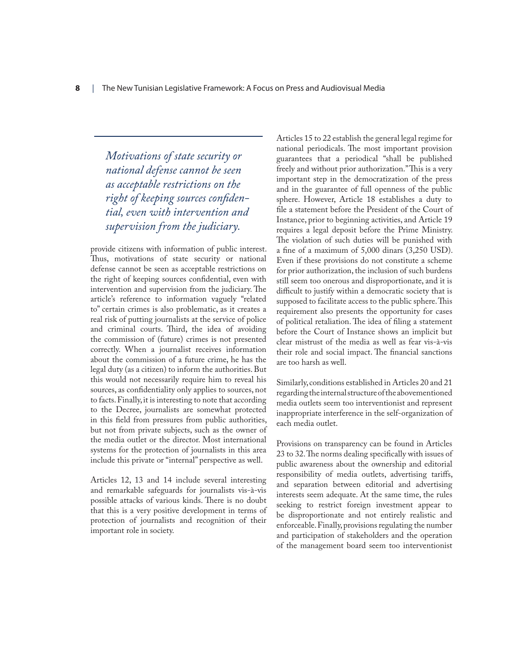*Motivations of state security or national defense cannot be seen as acceptable restrictions on the right of keeping sources confidential, even with intervention and supervision from the judiciary.* 

provide citizens with information of public interest. Thus, motivations of state security or national defense cannot be seen as acceptable restrictions on the right of keeping sources confidential, even with intervention and supervision from the judiciary. The article's reference to information vaguely "related to" certain crimes is also problematic, as it creates a real risk of putting journalists at the service of police and criminal courts. Third, the idea of avoiding the commission of (future) crimes is not presented correctly. When a journalist receives information about the commission of a future crime, he has the legal duty (as a citizen) to inform the authorities. But this would not necessarily require him to reveal his sources, as confidentiality only applies to sources, not to facts. Finally, it is interesting to note that according to the Decree, journalists are somewhat protected in this field from pressures from public authorities, but not from private subjects, such as the owner of the media outlet or the director. Most international systems for the protection of journalists in this area include this private or "internal" perspective as well.

Articles 12, 13 and 14 include several interesting and remarkable safeguards for journalists vis-à-vis possible attacks of various kinds. There is no doubt that this is a very positive development in terms of protection of journalists and recognition of their important role in society.

Articles 15 to 22 establish the general legal regime for national periodicals. The most important provision guarantees that a periodical "shall be published freely and without prior authorization." This is a very important step in the democratization of the press and in the guarantee of full openness of the public sphere. However, Article 18 establishes a duty to file a statement before the President of the Court of Instance, prior to beginning activities, and Article 19 requires a legal deposit before the Prime Ministry. The violation of such duties will be punished with a fine of a maximum of 5,000 dinars (3,250 USD). Even if these provisions do not constitute a scheme for prior authorization, the inclusion of such burdens still seem too onerous and disproportionate, and it is difficult to justify within a democratic society that is supposed to facilitate access to the public sphere. This requirement also presents the opportunity for cases of political retaliation. The idea of filing a statement before the Court of Instance shows an implicit but clear mistrust of the media as well as fear vis-à-vis their role and social impact. The financial sanctions are too harsh as well.

Similarly, conditions established in Articles 20 and 21 regarding the internal structure of the abovementioned media outlets seem too interventionist and represent inappropriate interference in the self-organization of each media outlet.

Provisions on transparency can be found in Articles 23 to 32. The norms dealing specifically with issues of public awareness about the ownership and editorial responsibility of media outlets, advertising tariffs, and separation between editorial and advertising interests seem adequate. At the same time, the rules seeking to restrict foreign investment appear to be disproportionate and not entirely realistic and enforceable. Finally, provisions regulating the number and participation of stakeholders and the operation of the management board seem too interventionist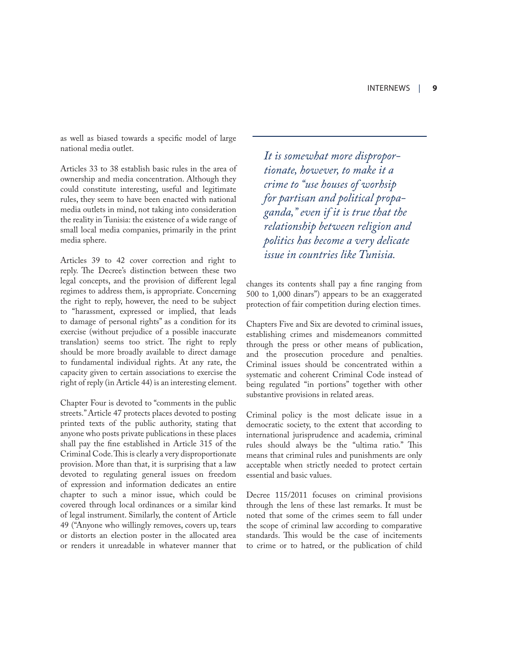as well as biased towards a specific model of large national media outlet.

Articles 33 to 38 establish basic rules in the area of ownership and media concentration. Although they could constitute interesting, useful and legitimate rules, they seem to have been enacted with national media outlets in mind, not taking into consideration the reality in Tunisia: the existence of a wide range of small local media companies, primarily in the print media sphere.

Articles 39 to 42 cover correction and right to reply. The Decree's distinction between these two legal concepts, and the provision of different legal regimes to address them, is appropriate. Concerning the right to reply, however, the need to be subject to "harassment, expressed or implied, that leads to damage of personal rights" as a condition for its exercise (without prejudice of a possible inaccurate translation) seems too strict. The right to reply should be more broadly available to direct damage to fundamental individual rights. At any rate, the capacity given to certain associations to exercise the right of reply (in Article 44) is an interesting element.

Chapter Four is devoted to "comments in the public streets." Article 47 protects places devoted to posting printed texts of the public authority, stating that anyone who posts private publications in these places shall pay the fine established in Article 315 of the Criminal Code. This is clearly a very disproportionate provision. More than that, it is surprising that a law devoted to regulating general issues on freedom of expression and information dedicates an entire chapter to such a minor issue, which could be covered through local ordinances or a similar kind of legal instrument. Similarly, the content of Article 49 ("Anyone who willingly removes, covers up, tears or distorts an election poster in the allocated area or renders it unreadable in whatever manner that

*It is somewhat more disproportionate, however, to make it a crime to "use houses of worhsip for partisan and political propaganda," even if it is true that the relationship between religion and politics has become a very delicate issue in countries like Tunisia.* 

changes its contents shall pay a fine ranging from 500 to 1,000 dinars") appears to be an exaggerated protection of fair competition during election times.

Chapters Five and Six are devoted to criminal issues, establishing crimes and misdemeanors committed through the press or other means of publication, and the prosecution procedure and penalties. Criminal issues should be concentrated within a systematic and coherent Criminal Code instead of being regulated "in portions" together with other substantive provisions in related areas.

Criminal policy is the most delicate issue in a democratic society, to the extent that according to international jurisprudence and academia, criminal rules should always be the "ultima ratio." This means that criminal rules and punishments are only acceptable when strictly needed to protect certain essential and basic values.

Decree 115/2011 focuses on criminal provisions through the lens of these last remarks. It must be noted that some of the crimes seem to fall under the scope of criminal law according to comparative standards. This would be the case of incitements to crime or to hatred, or the publication of child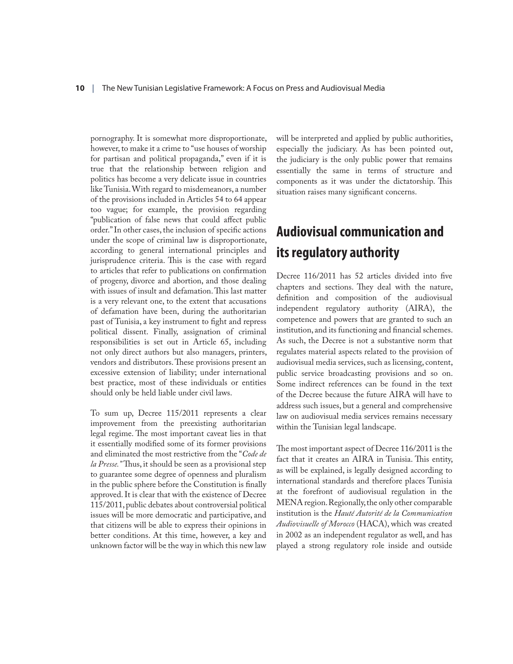pornography. It is somewhat more disproportionate, however, to make it a crime to "use houses of worship for partisan and political propaganda," even if it is true that the relationship between religion and politics has become a very delicate issue in countries like Tunisia. With regard to misdemeanors, a number of the provisions included in Articles 54 to 64 appear too vague; for example, the provision regarding "publication of false news that could affect public order." In other cases, the inclusion of specific actions under the scope of criminal law is disproportionate, according to general international principles and jurisprudence criteria. This is the case with regard to articles that refer to publications on confirmation of progeny, divorce and abortion, and those dealing with issues of insult and defamation. This last matter is a very relevant one, to the extent that accusations of defamation have been, during the authoritarian past of Tunisia, a key instrument to fight and repress political dissent. Finally, assignation of criminal responsibilities is set out in Article 65, including not only direct authors but also managers, printers, vendors and distributors. These provisions present an excessive extension of liability; under international best practice, most of these individuals or entities should only be held liable under civil laws.

To sum up, Decree 115/2011 represents a clear improvement from the preexisting authoritarian legal regime. The most important caveat lies in that it essentially modified some of its former provisions and eliminated the most restrictive from the "*Code de la Presse."* Thus, it should be seen as a provisional step to guarantee some degree of openness and pluralism in the public sphere before the Constitution is finally approved. It is clear that with the existence of Decree 115/2011, public debates about controversial political issues will be more democratic and participative, and that citizens will be able to express their opinions in better conditions. At this time, however, a key and unknown factor will be the way in which this new law will be interpreted and applied by public authorities, especially the judiciary. As has been pointed out, the judiciary is the only public power that remains essentially the same in terms of structure and components as it was under the dictatorship. This situation raises many significant concerns.

## **Audiovisual communication and its regulatory authority**

Decree 116/2011 has 52 articles divided into five chapters and sections. They deal with the nature, definition and composition of the audiovisual independent regulatory authority (AIRA), the competence and powers that are granted to such an institution, and its functioning and financial schemes. As such, the Decree is not a substantive norm that regulates material aspects related to the provision of audiovisual media services, such as licensing, content, public service broadcasting provisions and so on. Some indirect references can be found in the text of the Decree because the future AIRA will have to address such issues, but a general and comprehensive law on audiovisual media services remains necessary within the Tunisian legal landscape.

The most important aspect of Decree 116/2011 is the fact that it creates an AIRA in Tunisia. This entity, as will be explained, is legally designed according to international standards and therefore places Tunisia at the forefront of audiovisual regulation in the MENA region. Regionally, the only other comparable institution is the *Hauté Autorité de la Communication Audiovisuelle of Morocco* (HACA), which was created in 2002 as an independent regulator as well, and has played a strong regulatory role inside and outside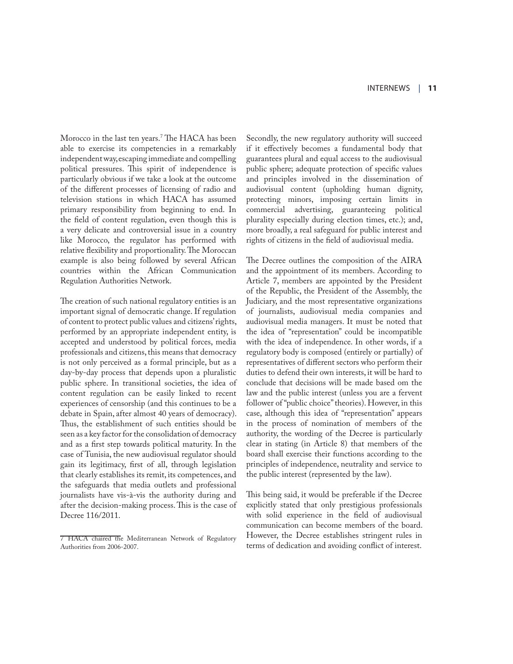Morocco in the last ten years.<sup>7</sup> The HACA has been able to exercise its competencies in a remarkably independent way, escaping immediate and compelling political pressures. This spirit of independence is particularly obvious if we take a look at the outcome of the different processes of licensing of radio and television stations in which HACA has assumed primary responsibility from beginning to end. In the field of content regulation, even though this is a very delicate and controversial issue in a country like Morocco, the regulator has performed with relative flexibility and proportionality. The Moroccan example is also being followed by several African countries within the African Communication Regulation Authorities Network.

The creation of such national regulatory entities is an important signal of democratic change. If regulation of content to protect public values and citizens' rights, performed by an appropriate independent entity, is accepted and understood by political forces, media professionals and citizens, this means that democracy is not only perceived as a formal principle, but as a day-by-day process that depends upon a pluralistic public sphere. In transitional societies, the idea of content regulation can be easily linked to recent experiences of censorship (and this continues to be a debate in Spain, after almost 40 years of democracy). Thus, the establishment of such entities should be seen as a key factor for the consolidation of democracy and as a first step towards political maturity. In the case of Tunisia, the new audiovisual regulator should gain its legitimacy, first of all, through legislation that clearly establishes its remit, its competences, and the safeguards that media outlets and professional journalists have vis-à-vis the authority during and after the decision-making process. This is the case of Decree 116/2011.

Secondly, the new regulatory authority will succeed if it effectively becomes a fundamental body that guarantees plural and equal access to the audiovisual public sphere; adequate protection of specific values and principles involved in the dissemination of audiovisual content (upholding human dignity, protecting minors, imposing certain limits in commercial advertising, guaranteeing political plurality especially during election times, etc.); and, more broadly, a real safeguard for public interest and rights of citizens in the field of audiovisual media.

The Decree outlines the composition of the AIRA and the appointment of its members. According to Article 7, members are appointed by the President of the Republic, the President of the Assembly, the Judiciary, and the most representative organizations of journalists, audiovisual media companies and audiovisual media managers. It must be noted that the idea of "representation" could be incompatible with the idea of independence. In other words, if a regulatory body is composed (entirely or partially) of representatives of different sectors who perform their duties to defend their own interests, it will be hard to conclude that decisions will be made based om the law and the public interest (unless you are a fervent follower of "public choice" theories). However, in this case, although this idea of "representation" appears in the process of nomination of members of the authority, the wording of the Decree is particularly clear in stating (in Article 8) that members of the board shall exercise their functions according to the principles of independence, neutrality and service to the public interest (represented by the law).

This being said, it would be preferable if the Decree explicitly stated that only prestigious professionals with solid experience in the field of audiovisual communication can become members of the board. However, the Decree establishes stringent rules in terms of dedication and avoiding conflict of interest.

<sup>7</sup> HACA chaired the Mediterranean Network of Regulatory Authorities from 2006-2007.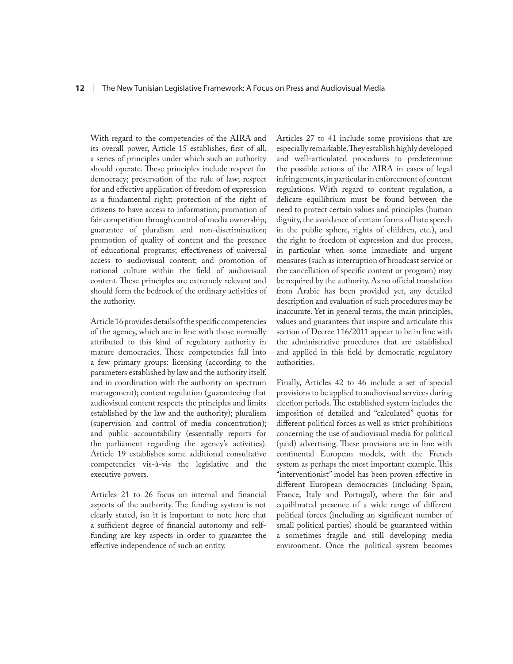#### **12** | The New Tunisian Legislative Framework: A Focus on Press and Audiovisual Media

With regard to the competencies of the AIRA and its overall power, Article 15 establishes, first of all, a series of principles under which such an authority should operate. These principles include respect for democracy; preservation of the rule of law; respect for and effective application of freedom of expression as a fundamental right; protection of the right of citizens to have access to information; promotion of fair competition through control of media ownership; guarantee of pluralism and non-discrimination; promotion of quality of content and the presence of educational programs; effectiveness of universal access to audiovisual content; and promotion of national culture within the field of audiovisual content. These principles are extremely relevant and should form the bedrock of the ordinary activities of the authority.

Article 16 provides details of the specific competencies of the agency, which are in line with those normally attributed to this kind of regulatory authority in mature democracies. These competencies fall into a few primary groups: licensing (according to the parameters established by law and the authority itself, and in coordination with the authority on spectrum management); content regulation (guaranteeing that audiovisual content respects the principles and limits established by the law and the authority); pluralism (supervision and control of media concentration); and public accountability (essentially reports for the parliament regarding the agency's activities). Article 19 establishes some additional consultative competencies vis-à-vis the legislative and the executive powers.

Articles 21 to 26 focus on internal and financial aspects of the authority. The funding system is not clearly stated, iso it is important to note here that a sufficient degree of financial autonomy and selffunding are key aspects in order to guarantee the effective independence of such an entity.

Articles 27 to 41 include some provisions that are especially remarkable. They establish highly developed and well-articulated procedures to predetermine the possible actions of the AIRA in cases of legal infringements, in particular in enforcement of content regulations. With regard to content regulation, a delicate equilibrium must be found between the need to protect certain values and principles (human dignity, the avoidance of certain forms of hate speech in the public sphere, rights of children, etc.), and the right to freedom of expression and due process, in particular when some immediate and urgent measures (such as interruption of broadcast service or the cancellation of specific content or program) may be required by the authority. As no official translation from Arabic has been provided yet, any detailed description and evaluation of such procedures may be inaccurate. Yet in general terms, the main principles, values and guarantees that inspire and articulate this section of Decree 116/2011 appear to be in line with the administrative procedures that are established and applied in this field by democratic regulatory authorities.

Finally, Articles 42 to 46 include a set of special provisions to be applied to audiovisual services during election periods. The established system includes the imposition of detailed and "calculated" quotas for different political forces as well as strict prohibitions concerning the use of audiovisual media for political (paid) advertising. These provisions are in line with continental European models, with the French system as perhaps the most important example. This "interventionist" model has been proven effective in different European democracies (including Spain, France, Italy and Portugal), where the fair and equilibrated presence of a wide range of different political forces (including an significant number of small political parties) should be guaranteed within a sometimes fragile and still developing media environment. Once the political system becomes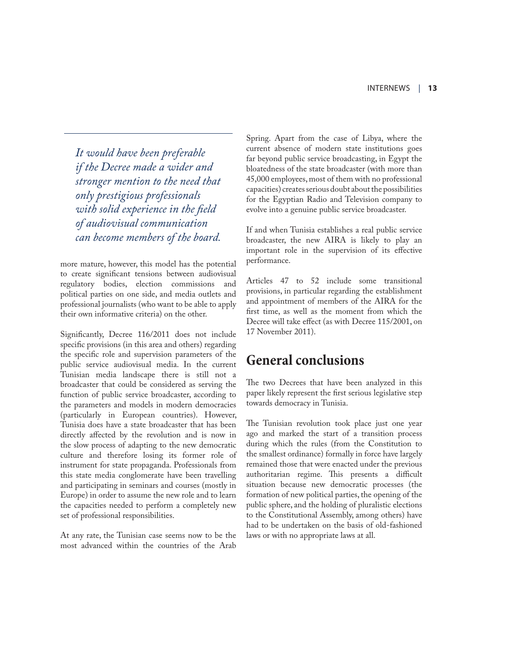*It would have been preferable if the Decree made a wider and stronger mention to the need that only prestigious professionals with solid experience in the field of audiovisual communication can become members of the board.* 

more mature, however, this model has the potential to create significant tensions between audiovisual regulatory bodies, election commissions and political parties on one side, and media outlets and professional journalists (who want to be able to apply their own informative criteria) on the other.

Significantly, Decree 116/2011 does not include specific provisions (in this area and others) regarding the specific role and supervision parameters of the public service audiovisual media. In the current Tunisian media landscape there is still not a broadcaster that could be considered as serving the function of public service broadcaster, according to the parameters and models in modern democracies (particularly in European countries). However, Tunisia does have a state broadcaster that has been directly affected by the revolution and is now in the slow process of adapting to the new democratic culture and therefore losing its former role of instrument for state propaganda. Professionals from this state media conglomerate have been travelling and participating in seminars and courses (mostly in Europe) in order to assume the new role and to learn the capacities needed to perform a completely new set of professional responsibilities.

At any rate, the Tunisian case seems now to be the most advanced within the countries of the Arab

Spring. Apart from the case of Libya, where the current absence of modern state institutions goes far beyond public service broadcasting, in Egypt the bloatedness of the state broadcaster (with more than 45,000 employees, most of them with no professional capacities) creates serious doubt about the possibilities for the Egyptian Radio and Television company to evolve into a genuine public service broadcaster.

If and when Tunisia establishes a real public service broadcaster, the new AIRA is likely to play an important role in the supervision of its effective performance.

Articles 47 to 52 include some transitional provisions, in particular regarding the establishment and appointment of members of the AIRA for the first time, as well as the moment from which the Decree will take effect (as with Decree 115/2001, on 17 November 2011).

### **General conclusions**

The two Decrees that have been analyzed in this paper likely represent the first serious legislative step towards democracy in Tunisia.

The Tunisian revolution took place just one year ago and marked the start of a transition process during which the rules (from the Constitution to the smallest ordinance) formally in force have largely remained those that were enacted under the previous authoritarian regime. This presents a difficult situation because new democratic processes (the formation of new political parties, the opening of the public sphere, and the holding of pluralistic elections to the Constitutional Assembly, among others) have had to be undertaken on the basis of old-fashioned laws or with no appropriate laws at all.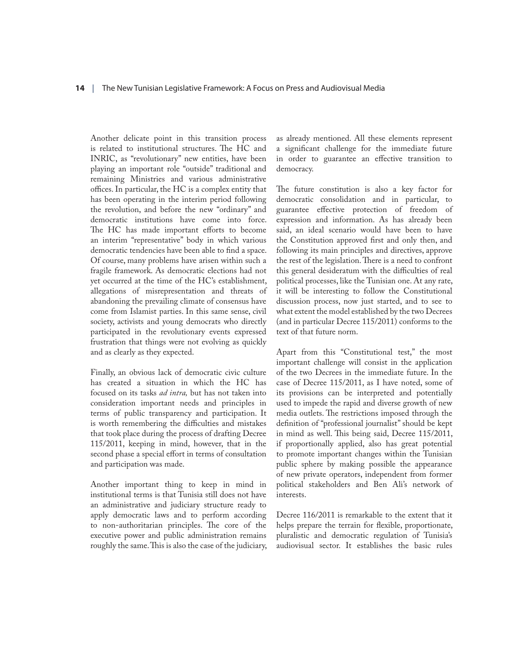Another delicate point in this transition process is related to institutional structures. The HC and INRIC, as "revolutionary" new entities, have been playing an important role "outside" traditional and remaining Ministries and various administrative offices. In particular, the HC is a complex entity that has been operating in the interim period following the revolution, and before the new "ordinary" and democratic institutions have come into force. The HC has made important efforts to become an interim "representative" body in which various democratic tendencies have been able to find a space. Of course, many problems have arisen within such a fragile framework. As democratic elections had not yet occurred at the time of the HC's establishment, allegations of misrepresentation and threats of abandoning the prevailing climate of consensus have come from Islamist parties. In this same sense, civil society, activists and young democrats who directly participated in the revolutionary events expressed frustration that things were not evolving as quickly and as clearly as they expected.

Finally, an obvious lack of democratic civic culture has created a situation in which the HC has focused on its tasks *ad intra,* but has not taken into consideration important needs and principles in terms of public transparency and participation. It is worth remembering the difficulties and mistakes that took place during the process of drafting Decree 115/2011, keeping in mind, however, that in the second phase a special effort in terms of consultation and participation was made.

Another important thing to keep in mind in institutional terms is that Tunisia still does not have an administrative and judiciary structure ready to apply democratic laws and to perform according to non-authoritarian principles. The core of the executive power and public administration remains roughly the same. This is also the case of the judiciary,

as already mentioned. All these elements represent a significant challenge for the immediate future in order to guarantee an effective transition to democracy.

The future constitution is also a key factor for democratic consolidation and in particular, to guarantee effective protection of freedom of expression and information. As has already been said, an ideal scenario would have been to have the Constitution approved first and only then, and following its main principles and directives, approve the rest of the legislation. There is a need to confront this general desideratum with the difficulties of real political processes, like the Tunisian one. At any rate, it will be interesting to follow the Constitutional discussion process, now just started, and to see to what extent the model established by the two Decrees (and in particular Decree 115/2011) conforms to the text of that future norm.

Apart from this "Constitutional test," the most important challenge will consist in the application of the two Decrees in the immediate future. In the case of Decree 115/2011, as I have noted, some of its provisions can be interpreted and potentially used to impede the rapid and diverse growth of new media outlets. The restrictions imposed through the definition of "professional journalist" should be kept in mind as well. This being said, Decree 115/2011, if proportionally applied, also has great potential to promote important changes within the Tunisian public sphere by making possible the appearance of new private operators, independent from former political stakeholders and Ben Ali's network of interests.

Decree 116/2011 is remarkable to the extent that it helps prepare the terrain for flexible, proportionate, pluralistic and democratic regulation of Tunisia's audiovisual sector. It establishes the basic rules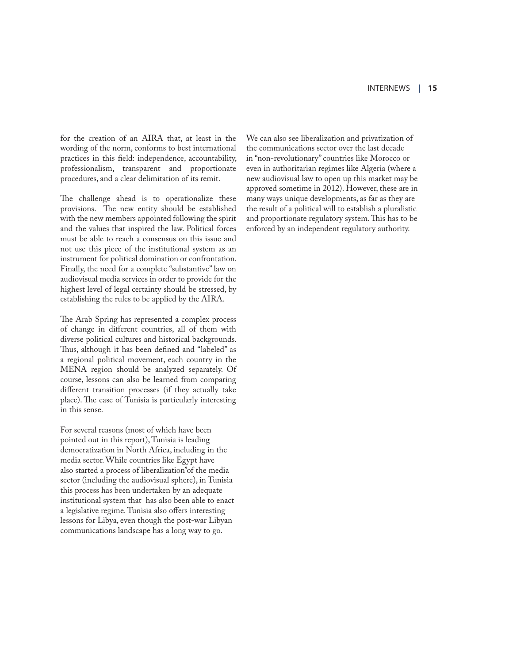for the creation of an AIRA that, at least in the wording of the norm, conforms to best international practices in this field: independence, accountability, professionalism, transparent and proportionate procedures, and a clear delimitation of its remit.

The challenge ahead is to operationalize these provisions. The new entity should be established with the new members appointed following the spirit and the values that inspired the law. Political forces must be able to reach a consensus on this issue and not use this piece of the institutional system as an instrument for political domination or confrontation. Finally, the need for a complete "substantive" law on audiovisual media services in order to provide for the highest level of legal certainty should be stressed, by establishing the rules to be applied by the AIRA.

The Arab Spring has represented a complex process of change in different countries, all of them with diverse political cultures and historical backgrounds. Thus, although it has been defined and "labeled" as a regional political movement, each country in the MENA region should be analyzed separately. Of course, lessons can also be learned from comparing different transition processes (if they actually take place). The case of Tunisia is particularly interesting in this sense.

For several reasons (most of which have been pointed out in this report), Tunisia is leading democratization in North Africa, including in the media sector. While countries like Egypt have also started a process of liberalization"of the media sector (including the audiovisual sphere), in Tunisia this process has been undertaken by an adequate institutional system that has also been able to enact a legislative regime. Tunisia also offers interesting lessons for Libya, even though the post-war Libyan communications landscape has a long way to go.

We can also see liberalization and privatization of the communications sector over the last decade in "non-revolutionary" countries like Morocco or even in authoritarian regimes like Algeria (where a new audiovisual law to open up this market may be approved sometime in 2012). However, these are in many ways unique developments, as far as they are the result of a political will to establish a pluralistic and proportionate regulatory system. This has to be enforced by an independent regulatory authority.